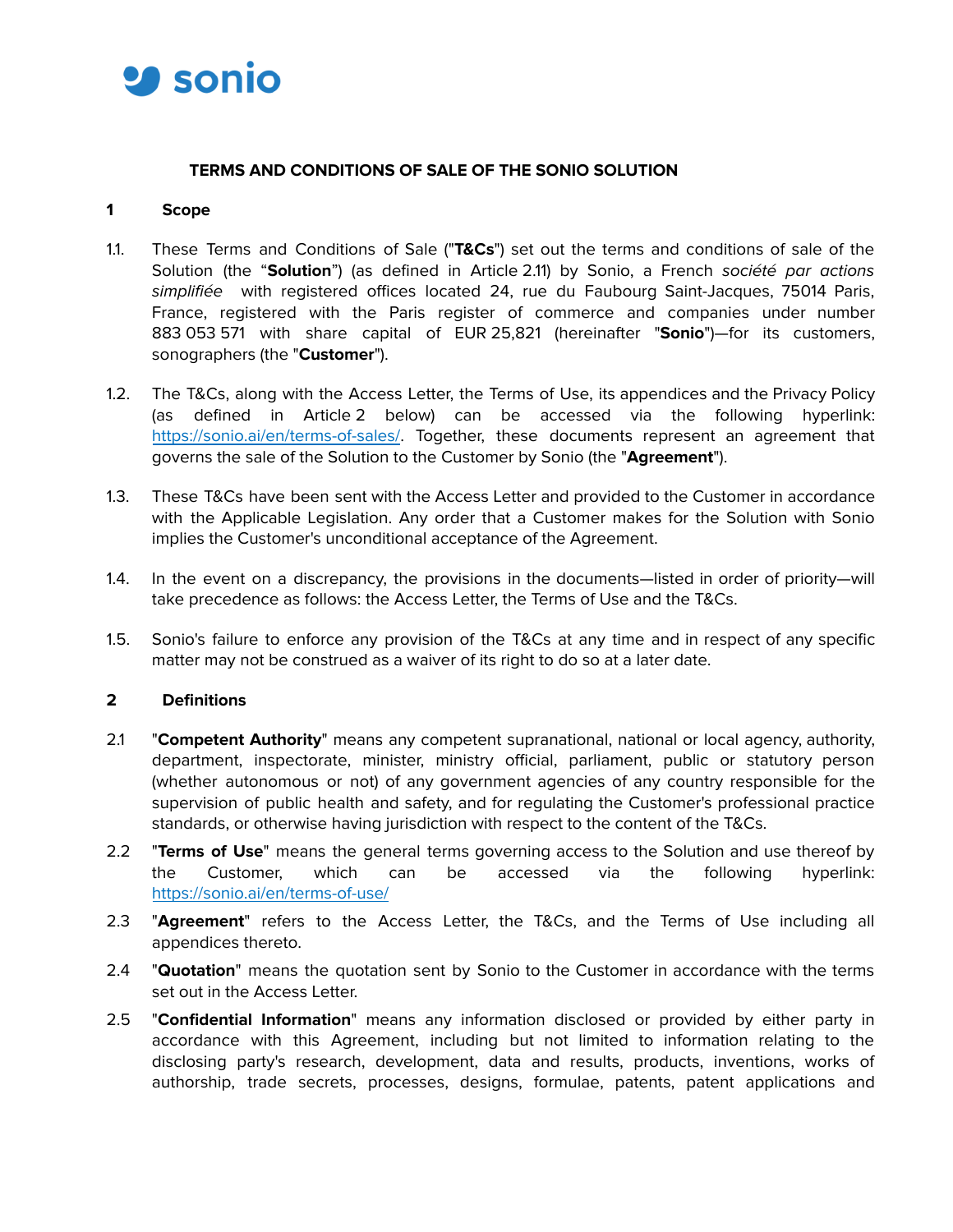

# **TERMS AND CONDITIONS OF SALE OF THE SONIO SOLUTION**

#### **1 Scope**

- 1.1. These Terms and Conditions of Sale ("**T&Cs**") set out the terms and conditions of sale of the Solution (the "**Solution**") (as defined in Article 2.11) by Sonio, a French société par actions simplifiée with registered offices located 24, rue du Faubourg Saint-Jacques, 75014 Paris, France, registered with the Paris register of commerce and companies under number 883 053 571 with share capital of EUR 25,821 (hereinafter "**Sonio**")—for its customers, sonographers (the "**Customer**").
- 1.2. The T&Cs, along with the Access Letter, the Terms of Use, its appendices and the Privacy Policy (as defined in Article 2 below) can be accessed via the following hyperlink: https://sonio.ai/en/terms-of-sales/. Together, these documents represent an agreement that governs the sale of the Solution to the Customer by Sonio (the "**Agreement**").
- 1.3. These T&Cs have been sent with the Access Letter and provided to the Customer in accordance with the Applicable Legislation. Any order that a Customer makes for the Solution with Sonio implies the Customer's unconditional acceptance of the Agreement.
- 1.4. In the event on a discrepancy, the provisions in the documents—listed in order of priority—will take precedence as follows: the Access Letter, the Terms of Use and the T&Cs.
- 1.5. Sonio's failure to enforce any provision of the T&Cs at any time and in respect of any specific matter may not be construed as a waiver of its right to do so at a later date.

# **2 Definitions**

- 2.1 "**Competent Authority**" means any competent supranational, national or local agency, authority, department, inspectorate, minister, ministry official, parliament, public or statutory person (whether autonomous or not) of any government agencies of any country responsible for the supervision of public health and safety, and for regulating the Customer's professional practice standards, or otherwise having jurisdiction with respect to the content of the T&Cs.
- 2.2 "**Terms of Use**" means the general terms governing access to the Solution and use thereof by the Customer, which can be accessed via the following hyperlink: https://sonio.ai/en/terms-of-use/
- 2.3 "**Agreement**" refers to the Access Letter, the T&Cs, and the Terms of Use including all appendices thereto.
- 2.4 "**Quotation**" means the quotation sent by Sonio to the Customer in accordance with the terms set out in the Access Letter.
- 2.5 "**Confidential Information**" means any information disclosed or provided by either party in accordance with this Agreement, including but not limited to information relating to the disclosing party's research, development, data and results, products, inventions, works of authorship, trade secrets, processes, designs, formulae, patents, patent applications and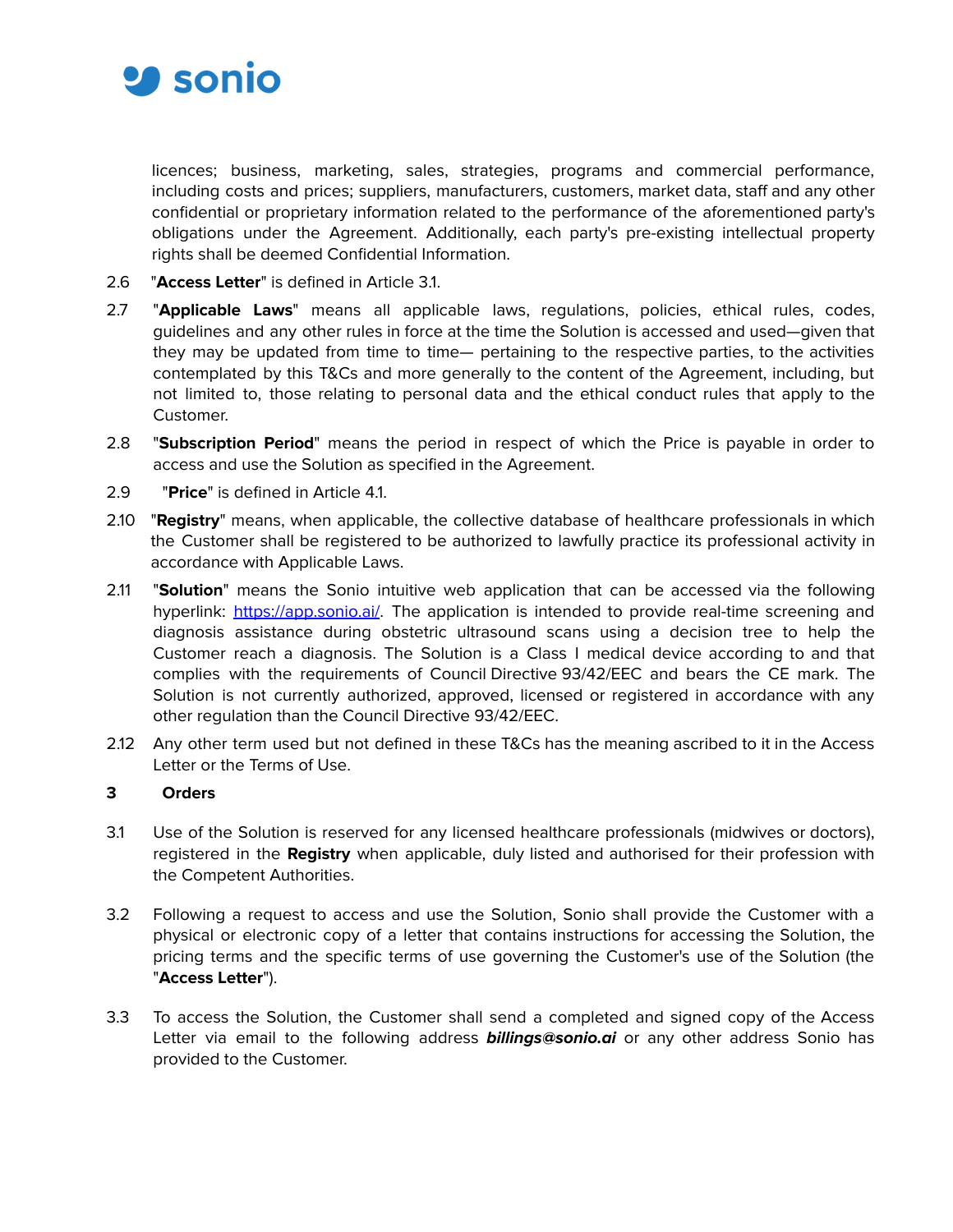

licences; business, marketing, sales, strategies, programs and commercial performance, including costs and prices; suppliers, manufacturers, customers, market data, staff and any other confidential or proprietary information related to the performance of the aforementioned party's obligations under the Agreement. Additionally, each party's pre-existing intellectual property rights shall be deemed Confidential Information.

- 2.6 "**Access Letter**" is defined in Article 3.1.
- 2.7 "**Applicable Laws**" means all applicable laws, regulations, policies, ethical rules, codes, guidelines and any other rules in force at the time the Solution is accessed and used—given that they may be updated from time to time— pertaining to the respective parties, to the activities contemplated by this T&Cs and more generally to the content of the Agreement, including, but not limited to, those relating to personal data and the ethical conduct rules that apply to the Customer.
- 2.8 "**Subscription Period**" means the period in respect of which the Price is payable in order to access and use the Solution as specified in the Agreement.
- 2.9 "**Price**" is defined in Article 4.1.
- 2.10 "**Registry**" means, when applicable, the collective database of healthcare professionals in which the Customer shall be registered to be authorized to lawfully practice its professional activity in accordance with Applicable Laws.
- 2.11 "**Solution**" means the Sonio intuitive web application that can be accessed via the following hyperlink: https://app.sonio.ai/. The application is intended to provide real-time screening and diagnosis assistance during obstetric ultrasound scans using a decision tree to help the Customer reach a diagnosis. The Solution is a Class I medical device according to and that complies with the requirements of Council Directive 93/42/EEC and bears the CE mark. The Solution is not currently authorized, approved, licensed or registered in accordance with any other regulation than the Council Directive 93/42/EEC.
- 2.12 Any other term used but not defined in these T&Cs has the meaning ascribed to it in the Access Letter or the Terms of Use.

#### **3 Orders**

- 3.1 Use of the Solution is reserved for any licensed healthcare professionals (midwives or doctors), registered in the **Registry** when applicable, duly listed and authorised for their profession with the Competent Authorities.
- 3.2 Following a request to access and use the Solution, Sonio shall provide the Customer with a physical or electronic copy of a letter that contains instructions for accessing the Solution, the pricing terms and the specific terms of use governing the Customer's use of the Solution (the "**Access Letter**").
- 3.3 To access the Solution, the Customer shall send a completed and signed copy of the Access Letter via email to the following address **billings@sonio.ai** or any other address Sonio has provided to the Customer.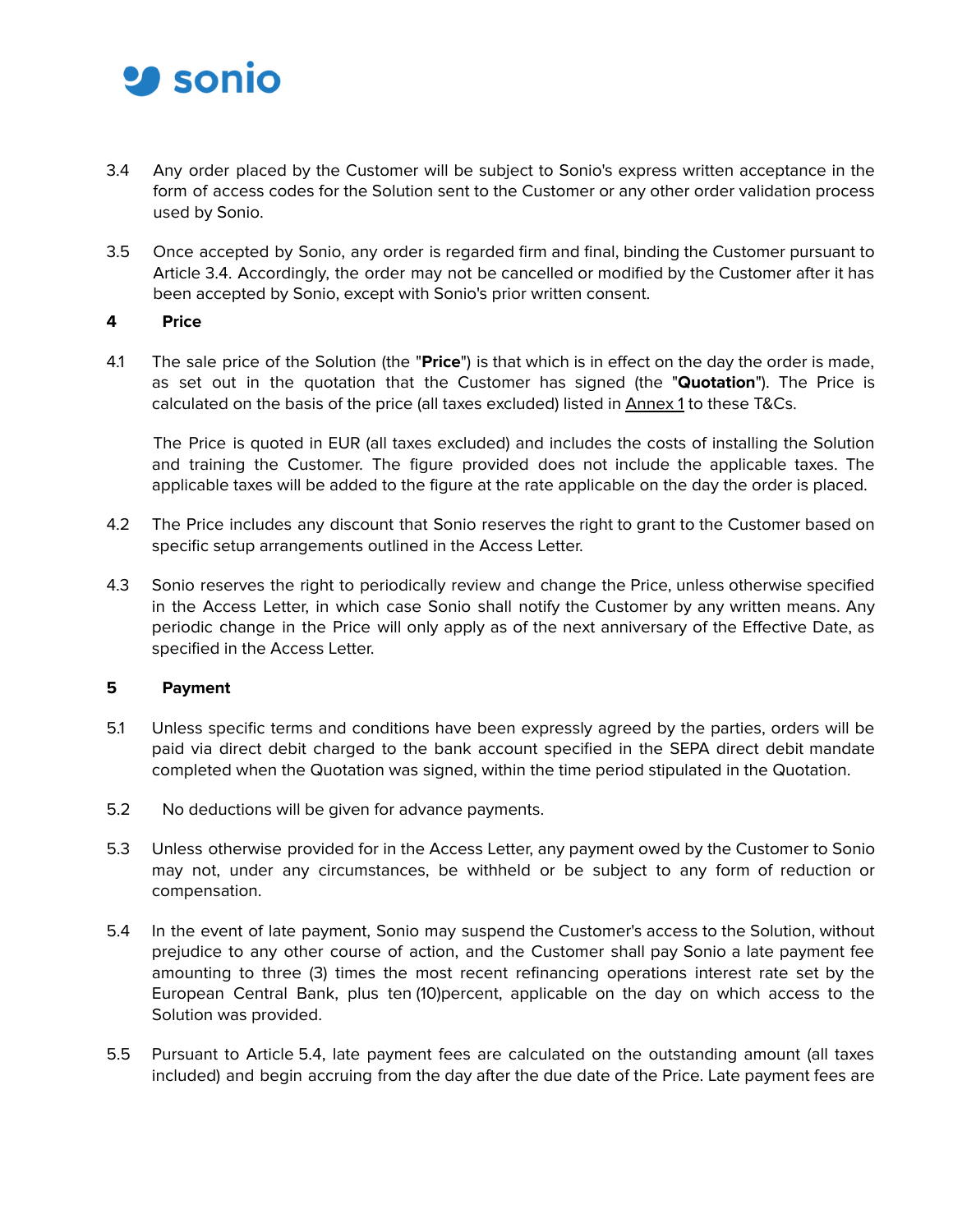

- 3.4 Any order placed by the Customer will be subject to Sonio's express written acceptance in the form of access codes for the Solution sent to the Customer or any other order validation process used by Sonio.
- 3.5 Once accepted by Sonio, any order is regarded firm and final, binding the Customer pursuant to Article 3.4. Accordingly, the order may not be cancelled or modified by the Customer after it has been accepted by Sonio, except with Sonio's prior written consent.

#### **4 Price**

4.1 The sale price of the Solution (the "**Price**") is that which is in effect on the day the order is made, as set out in the quotation that the Customer has signed (the "**Quotation**"). The Price is calculated on the basis of the price (all taxes excluded) listed in **Annex 1** to these T&Cs.

The Price is quoted in EUR (all taxes excluded) and includes the costs of installing the Solution and training the Customer. The figure provided does not include the applicable taxes. The applicable taxes will be added to the figure at the rate applicable on the day the order is placed.

- 4.2 The Price includes any discount that Sonio reserves the right to grant to the Customer based on specific setup arrangements outlined in the Access Letter.
- 4.3 Sonio reserves the right to periodically review and change the Price, unless otherwise specified in the Access Letter, in which case Sonio shall notify the Customer by any written means. Any periodic change in the Price will only apply as of the next anniversary of the Effective Date, as specified in the Access Letter.

#### **5 Payment**

- 5.1 Unless specific terms and conditions have been expressly agreed by the parties, orders will be paid via direct debit charged to the bank account specified in the SEPA direct debit mandate completed when the Quotation was signed, within the time period stipulated in the Quotation.
- 5.2 No deductions will be given for advance payments.
- 5.3 Unless otherwise provided for in the Access Letter, any payment owed by the Customer to Sonio may not, under any circumstances, be withheld or be subject to any form of reduction or compensation.
- 5.4 In the event of late payment, Sonio may suspend the Customer's access to the Solution, without prejudice to any other course of action, and the Customer shall pay Sonio a late payment fee amounting to three (3) times the most recent refinancing operations interest rate set by the European Central Bank, plus ten (10)percent, applicable on the day on which access to the Solution was provided.
- 5.5 Pursuant to Article 5.4, late payment fees are calculated on the outstanding amount (all taxes included) and begin accruing from the day after the due date of the Price. Late payment fees are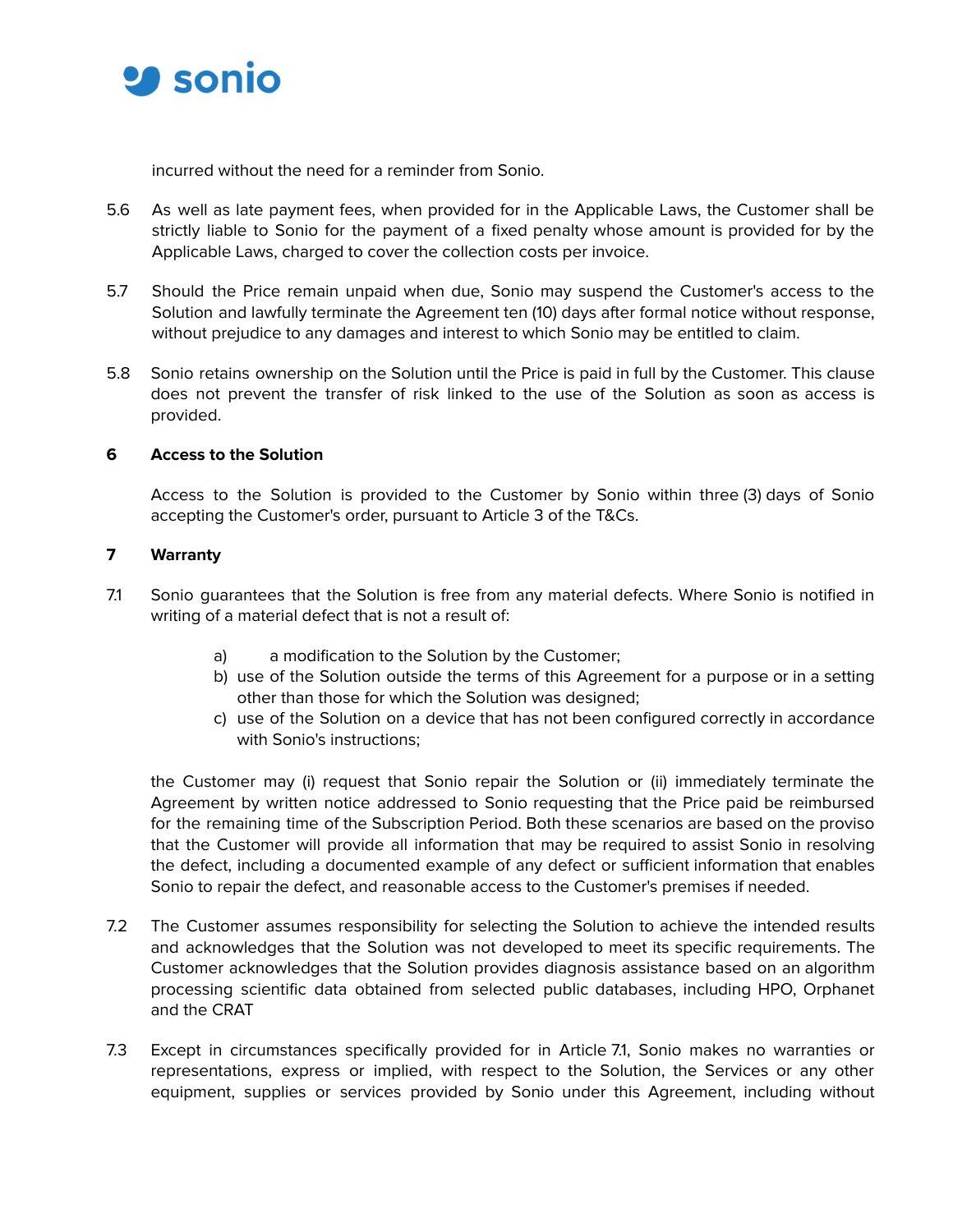

incurred without the need for a reminder from Sonio.

- 5.6 As well as late payment fees, when provided for in the Applicable Laws, the Customer shall be strictly liable to Sonio for the payment of a fixed penalty whose amount is provided for by the Applicable Laws, charged to cover the collection costs per invoice.
- 5.7 Should the Price remain unpaid when due, Sonio may suspend the Customer's access to the Solution and lawfully terminate the Agreement ten (10) days after formal notice without response, without prejudice to any damages and interest to which Sonio may be entitled to claim.
- 5.8 Sonio retains ownership on the Solution until the Price is paid in full by the Customer. This clause does not prevent the transfer of risk linked to the use of the Solution as soon as access is provided.

#### **6 Access to the Solution**

Access to the Solution is provided to the Customer by Sonio within three (3) days of Sonio accepting the Customer's order, pursuant to Article 3 of the T&Cs.

#### **7 Warranty**

- 7.1 Sonio guarantees that the Solution is free from any material defects. Where Sonio is notified in writing of a material defect that is not a result of:
	- a) a modification to the Solution by the Customer;
	- b) use of the Solution outside the terms of this Agreement for a purpose or in a setting other than those for which the Solution was designed;
	- c) use of the Solution on a device that has not been configured correctly in accordance with Sonio's instructions;

the Customer may (i) request that Sonio repair the Solution or (ii) immediately terminate the Agreement by written notice addressed to Sonio requesting that the Price paid be reimbursed for the remaining time of the Subscription Period. Both these scenarios are based on the proviso that the Customer will provide all information that may be required to assist Sonio in resolving the defect, including a documented example of any defect or sufficient information that enables Sonio to repair the defect, and reasonable access to the Customer's premises if needed.

- 7.2 The Customer assumes responsibility for selecting the Solution to achieve the intended results and acknowledges that the Solution was not developed to meet its specific requirements. The Customer acknowledges that the Solution provides diagnosis assistance based on an algorithm processing scientific data obtained from selected public databases, including HPO, Orphanet and the CRAT
- 7.3 Except in circumstances specifically provided for in Article 7.1, Sonio makes no warranties or representations, express or implied, with respect to the Solution, the Services or any other equipment, supplies or services provided by Sonio under this Agreement, including without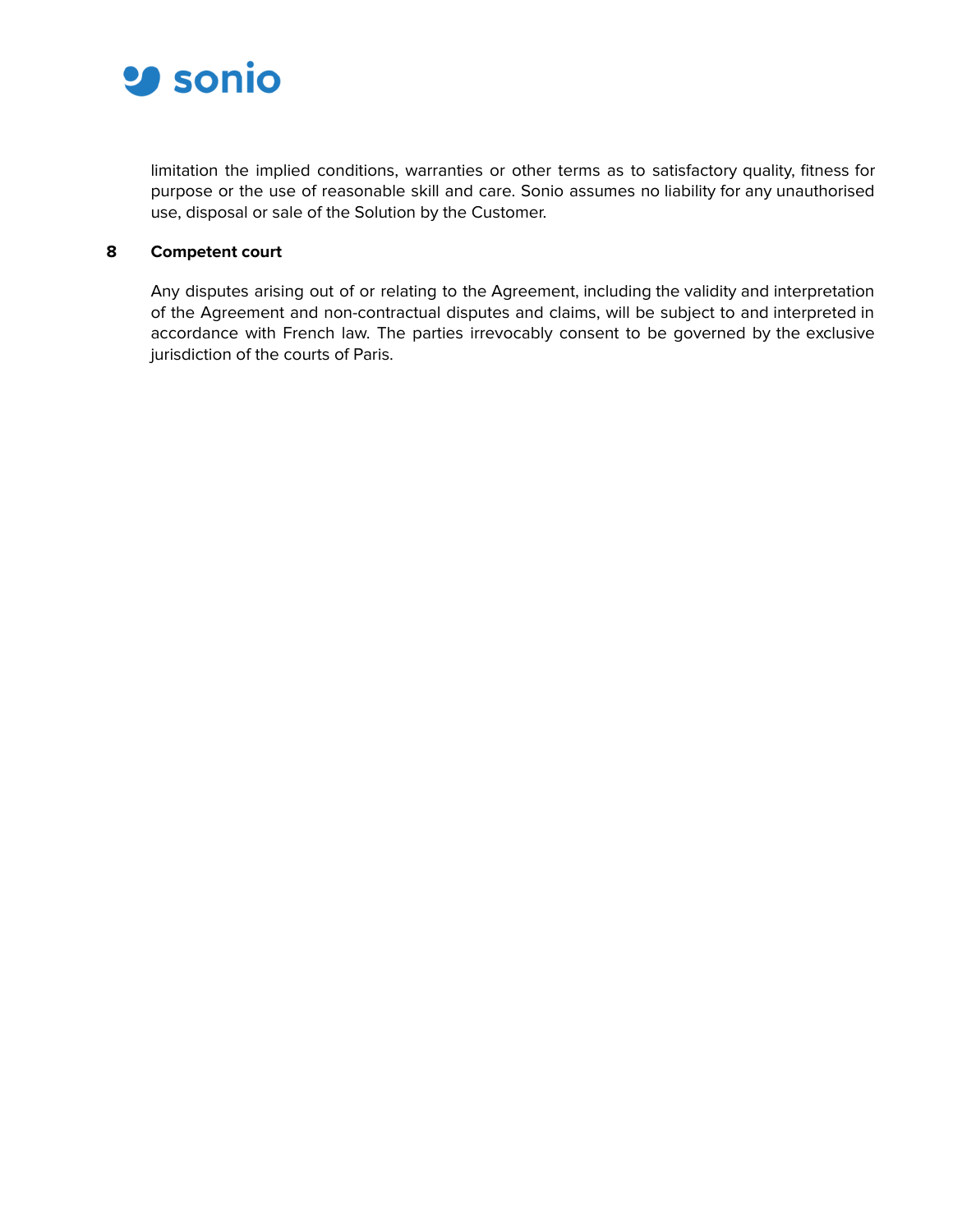

limitation the implied conditions, warranties or other terms as to satisfactory quality, fitness for purpose or the use of reasonable skill and care. Sonio assumes no liability for any unauthorised use, disposal or sale of the Solution by the Customer.

### **8 Competent court**

Any disputes arising out of or relating to the Agreement, including the validity and interpretation of the Agreement and non-contractual disputes and claims, will be subject to and interpreted in accordance with French law. The parties irrevocably consent to be governed by the exclusive jurisdiction of the courts of Paris.